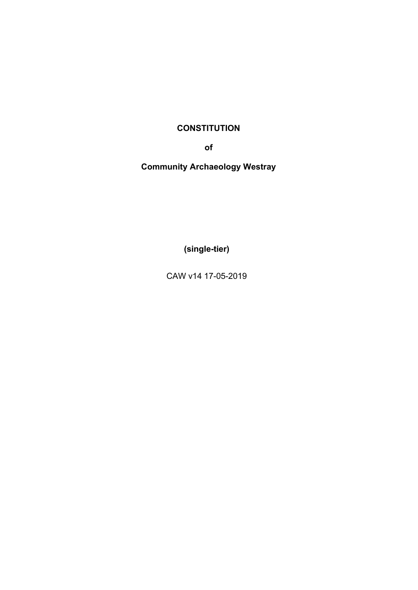# **CONSTITUTION**

**of**

**Community Archaeology Westray** 

**(single-tier)**

CAW v14 17-05-2019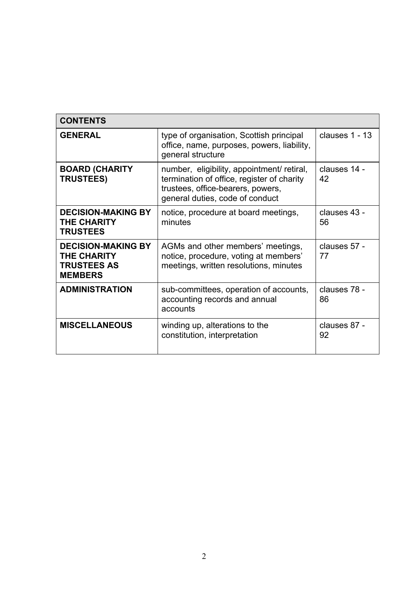| <b>CONTENTS</b>                                                                         |                                                                                                                                                                  |                    |
|-----------------------------------------------------------------------------------------|------------------------------------------------------------------------------------------------------------------------------------------------------------------|--------------------|
| <b>GENERAL</b>                                                                          | type of organisation, Scottish principal<br>office, name, purposes, powers, liability,<br>general structure                                                      | clauses 1 - 13     |
| <b>BOARD (CHARITY</b><br><b>TRUSTEES)</b>                                               | number, eligibility, appointment/ retiral,<br>termination of office, register of charity<br>trustees, office-bearers, powers,<br>general duties, code of conduct | clauses 14 -<br>42 |
| <b>DECISION-MAKING BY</b><br><b>THE CHARITY</b><br><b>TRUSTEES</b>                      | notice, procedure at board meetings,<br>minutes                                                                                                                  | clauses 43 -<br>56 |
| <b>DECISION-MAKING BY</b><br><b>THE CHARITY</b><br><b>TRUSTEES AS</b><br><b>MEMBERS</b> | AGMs and other members' meetings,<br>notice, procedure, voting at members'<br>meetings, written resolutions, minutes                                             | clauses 57 -<br>77 |
| <b>ADMINISTRATION</b>                                                                   | sub-committees, operation of accounts,<br>accounting records and annual<br>accounts                                                                              | clauses 78 -<br>86 |
| <b>MISCELLANEOUS</b>                                                                    | winding up, alterations to the<br>constitution, interpretation                                                                                                   | clauses 87 -<br>92 |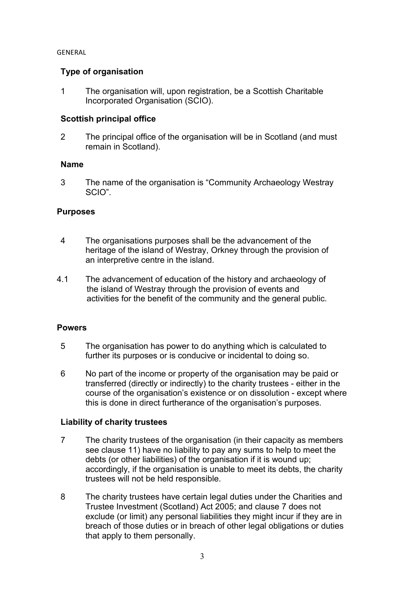#### GENERAL

## **Type of organisation**

1 The organisation will, upon registration, be a Scottish Charitable Incorporated Organisation (SCIO).

## **Scottish principal office**

2 The principal office of the organisation will be in Scotland (and must remain in Scotland).

### **Name**

3 The name of the organisation is "Community Archaeology Westray SCIO".

### **Purposes**

- 4 The organisations purposes shall be the advancement of the heritage of the island of Westray, Orkney through the provision of an interpretive centre in the island.
- 4.1 The advancement of education of the history and archaeology of the island of Westray through the provision of events and activities for the benefit of the community and the general public.

### **Powers**

- 5 The organisation has power to do anything which is calculated to further its purposes or is conducive or incidental to doing so.
- 6 No part of the income or property of the organisation may be paid or transferred (directly or indirectly) to the charity trustees - either in the course of the organisation's existence or on dissolution - except where this is done in direct furtherance of the organisation's purposes.

### **Liability of charity trustees**

- 7 The charity trustees of the organisation (in their capacity as members see clause 11) have no liability to pay any sums to help to meet the debts (or other liabilities) of the organisation if it is wound up; accordingly, if the organisation is unable to meet its debts, the charity trustees will not be held responsible.
- 8 The charity trustees have certain legal duties under the Charities and Trustee Investment (Scotland) Act 2005; and clause 7 does not exclude (or limit) any personal liabilities they might incur if they are in breach of those duties or in breach of other legal obligations or duties that apply to them personally.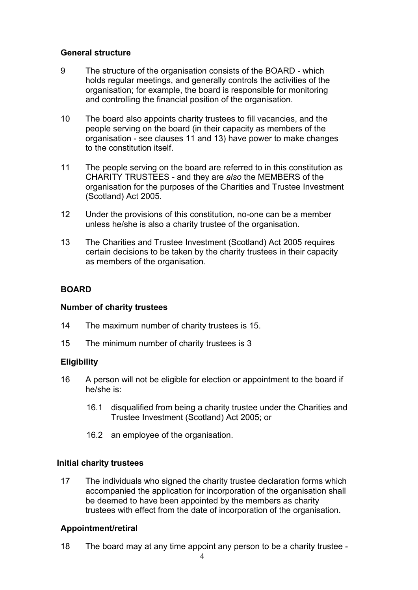### **General structure**

- 9 The structure of the organisation consists of the BOARD which holds regular meetings, and generally controls the activities of the organisation; for example, the board is responsible for monitoring and controlling the financial position of the organisation.
- 10 The board also appoints charity trustees to fill vacancies, and the people serving on the board (in their capacity as members of the organisation - see clauses 11 and 13) have power to make changes to the constitution itself.
- 11 The people serving on the board are referred to in this constitution as CHARITY TRUSTEES - and they are *also* the MEMBERS of the organisation for the purposes of the Charities and Trustee Investment (Scotland) Act 2005.
- 12 Under the provisions of this constitution, no-one can be a member unless he/she is also a charity trustee of the organisation.
- 13 The Charities and Trustee Investment (Scotland) Act 2005 requires certain decisions to be taken by the charity trustees in their capacity as members of the organisation.

## **BOARD**

### **Number of charity trustees**

- 14 The maximum number of charity trustees is 15.
- 15 The minimum number of charity trustees is 3

## **Eligibility**

- 16 A person will not be eligible for election or appointment to the board if he/she is:
	- 16.1 disqualified from being a charity trustee under the Charities and Trustee Investment (Scotland) Act 2005; or
	- 16.2 an employee of the organisation.

### **Initial charity trustees**

17 The individuals who signed the charity trustee declaration forms which accompanied the application for incorporation of the organisation shall be deemed to have been appointed by the members as charity trustees with effect from the date of incorporation of the organisation.

# **Appointment/retiral**

18 The board may at any time appoint any person to be a charity trustee -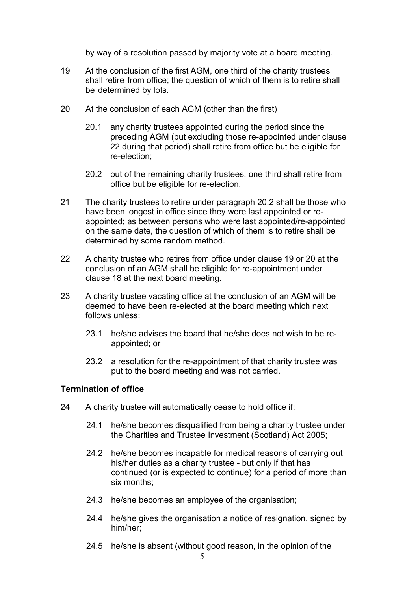by way of a resolution passed by majority vote at a board meeting.

- 19 At the conclusion of the first AGM, one third of the charity trustees shall retire from office; the question of which of them is to retire shall be determined by lots.
- 20 At the conclusion of each AGM (other than the first)
	- 20.1 any charity trustees appointed during the period since the preceding AGM (but excluding those re-appointed under clause 22 during that period) shall retire from office but be eligible for re-election;
	- 20.2 out of the remaining charity trustees, one third shall retire from office but be eligible for re-election.
- 21 The charity trustees to retire under paragraph 20.2 shall be those who have been longest in office since they were last appointed or reappointed; as between persons who were last appointed/re-appointed on the same date, the question of which of them is to retire shall be determined by some random method.
- 22 A charity trustee who retires from office under clause 19 or 20 at the conclusion of an AGM shall be eligible for re-appointment under clause 18 at the next board meeting.
- 23 A charity trustee vacating office at the conclusion of an AGM will be deemed to have been re-elected at the board meeting which next follows unless:
	- 23.1 he/she advises the board that he/she does not wish to be reappointed; or
	- 23.2 a resolution for the re-appointment of that charity trustee was put to the board meeting and was not carried.

### **Termination of office**

- 24 A charity trustee will automatically cease to hold office if:
	- 24.1 he/she becomes disqualified from being a charity trustee under the Charities and Trustee Investment (Scotland) Act 2005;
	- 24.2 he/she becomes incapable for medical reasons of carrying out his/her duties as a charity trustee - but only if that has continued (or is expected to continue) for a period of more than six months;
	- 24.3 he/she becomes an employee of the organisation;
	- 24.4 he/she gives the organisation a notice of resignation, signed by him/her;
	- 24.5 he/she is absent (without good reason, in the opinion of the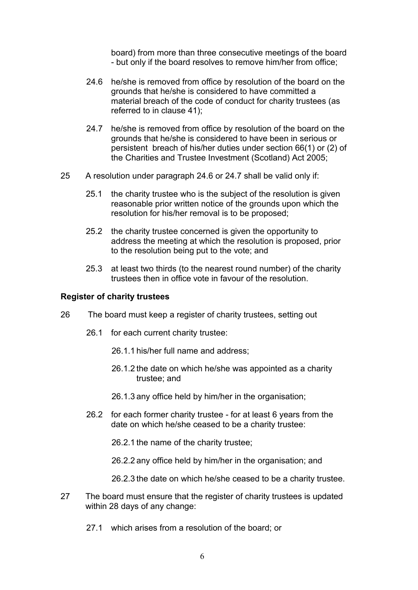board) from more than three consecutive meetings of the board - but only if the board resolves to remove him/her from office;

- 24.6 he/she is removed from office by resolution of the board on the grounds that he/she is considered to have committed a material breach of the code of conduct for charity trustees (as referred to in clause 41);
- 24.7 he/she is removed from office by resolution of the board on the grounds that he/she is considered to have been in serious or persistent breach of his/her duties under section 66(1) or (2) of the Charities and Trustee Investment (Scotland) Act 2005;
- 25 A resolution under paragraph 24.6 or 24.7 shall be valid only if:
	- 25.1 the charity trustee who is the subject of the resolution is given reasonable prior written notice of the grounds upon which the resolution for his/her removal is to be proposed;
	- 25.2 the charity trustee concerned is given the opportunity to address the meeting at which the resolution is proposed, prior to the resolution being put to the vote; and
	- 25.3 at least two thirds (to the nearest round number) of the charity trustees then in office vote in favour of the resolution.

#### **Register of charity trustees**

- 26 The board must keep a register of charity trustees, setting out
	- 26.1 for each current charity trustee:
		- 26.1.1 his/her full name and address;
		- 26.1.2 the date on which he/she was appointed as a charity trustee; and
		- 26.1.3 any office held by him/her in the organisation;
	- 26.2 for each former charity trustee for at least 6 years from the date on which he/she ceased to be a charity trustee:

26.2.1 the name of the charity trustee;

26.2.2 any office held by him/her in the organisation; and

26.2.3 the date on which he/she ceased to be a charity trustee.

- 27 The board must ensure that the register of charity trustees is updated within 28 days of any change:
	- 27.1 which arises from a resolution of the board; or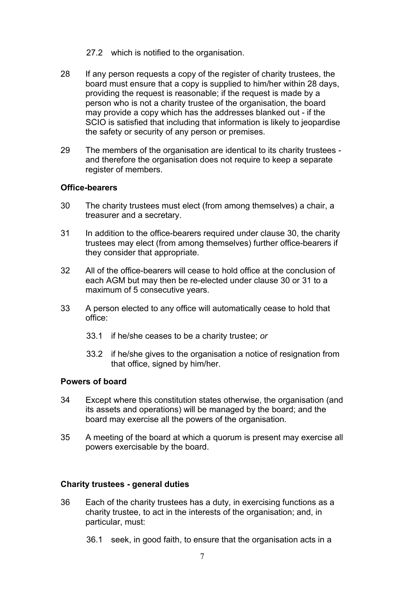- 27.2 which is notified to the organisation.
- 28 If any person requests a copy of the register of charity trustees, the board must ensure that a copy is supplied to him/her within 28 days, providing the request is reasonable; if the request is made by a person who is not a charity trustee of the organisation, the board may provide a copy which has the addresses blanked out - if the SCIO is satisfied that including that information is likely to jeopardise the safety or security of any person or premises.
- 29 The members of the organisation are identical to its charity trustees and therefore the organisation does not require to keep a separate register of members.

#### **Office-bearers**

- 30 The charity trustees must elect (from among themselves) a chair, a treasurer and a secretary.
- 31 In addition to the office-bearers required under clause 30, the charity trustees may elect (from among themselves) further office-bearers if they consider that appropriate.
- 32 All of the office-bearers will cease to hold office at the conclusion of each AGM but may then be re-elected under clause 30 or 31 to a maximum of 5 consecutive years.
- 33 A person elected to any office will automatically cease to hold that office:
	- 33.1 if he/she ceases to be a charity trustee; *or*
	- 33.2 if he/she gives to the organisation a notice of resignation from that office, signed by him/her.

### **Powers of board**

- 34 Except where this constitution states otherwise, the organisation (and its assets and operations) will be managed by the board; and the board may exercise all the powers of the organisation.
- 35 A meeting of the board at which a quorum is present may exercise all powers exercisable by the board.

#### **Charity trustees - general duties**

- 36 Each of the charity trustees has a duty, in exercising functions as a charity trustee, to act in the interests of the organisation; and, in particular, must:
	- 36.1 seek, in good faith, to ensure that the organisation acts in a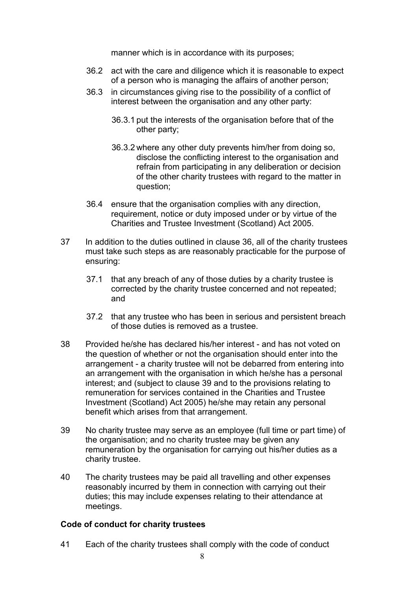manner which is in accordance with its purposes;

- 36.2 act with the care and diligence which it is reasonable to expect of a person who is managing the affairs of another person;
- 36.3 in circumstances giving rise to the possibility of a conflict of interest between the organisation and any other party:
	- 36.3.1 put the interests of the organisation before that of the other party;
	- 36.3.2 where any other duty prevents him/her from doing so, disclose the conflicting interest to the organisation and refrain from participating in any deliberation or decision of the other charity trustees with regard to the matter in question;
- 36.4 ensure that the organisation complies with any direction, requirement, notice or duty imposed under or by virtue of the Charities and Trustee Investment (Scotland) Act 2005.
- 37 In addition to the duties outlined in clause 36, all of the charity trustees must take such steps as are reasonably practicable for the purpose of ensuring:
	- 37.1 that any breach of any of those duties by a charity trustee is corrected by the charity trustee concerned and not repeated; and
	- 37.2 that any trustee who has been in serious and persistent breach of those duties is removed as a trustee.
- 38 Provided he/she has declared his/her interest and has not voted on the question of whether or not the organisation should enter into the arrangement - a charity trustee will not be debarred from entering into an arrangement with the organisation in which he/she has a personal interest; and (subject to clause 39 and to the provisions relating to remuneration for services contained in the Charities and Trustee Investment (Scotland) Act 2005) he/she may retain any personal benefit which arises from that arrangement.
- 39 No charity trustee may serve as an employee (full time or part time) of the organisation; and no charity trustee may be given any remuneration by the organisation for carrying out his/her duties as a charity trustee.
- 40 The charity trustees may be paid all travelling and other expenses reasonably incurred by them in connection with carrying out their duties; this may include expenses relating to their attendance at meetings.

### **Code of conduct for charity trustees**

41 Each of the charity trustees shall comply with the code of conduct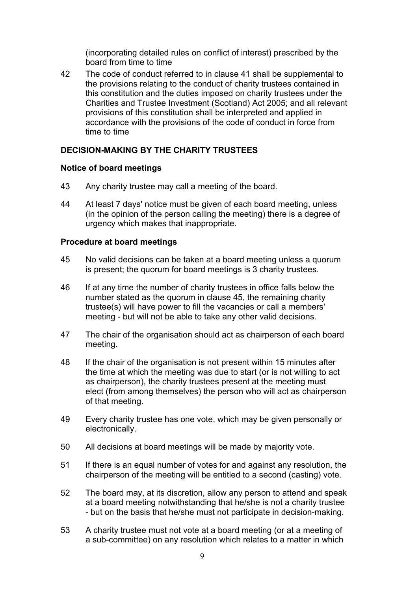(incorporating detailed rules on conflict of interest) prescribed by the board from time to time

42 The code of conduct referred to in clause 41 shall be supplemental to the provisions relating to the conduct of charity trustees contained in this constitution and the duties imposed on charity trustees under the Charities and Trustee Investment (Scotland) Act 2005; and all relevant provisions of this constitution shall be interpreted and applied in accordance with the provisions of the code of conduct in force from time to time

# **DECISION-MAKING BY THE CHARITY TRUSTEES**

## **Notice of board meetings**

- 43 Any charity trustee may call a meeting of the board.
- 44 At least 7 days' notice must be given of each board meeting, unless (in the opinion of the person calling the meeting) there is a degree of urgency which makes that inappropriate.

## **Procedure at board meetings**

- 45 No valid decisions can be taken at a board meeting unless a quorum is present; the quorum for board meetings is 3 charity trustees.
- 46 If at any time the number of charity trustees in office falls below the number stated as the quorum in clause 45, the remaining charity trustee(s) will have power to fill the vacancies or call a members' meeting - but will not be able to take any other valid decisions.
- 47 The chair of the organisation should act as chairperson of each board meeting.
- 48 If the chair of the organisation is not present within 15 minutes after the time at which the meeting was due to start (or is not willing to act as chairperson), the charity trustees present at the meeting must elect (from among themselves) the person who will act as chairperson of that meeting.
- 49 Every charity trustee has one vote, which may be given personally or electronically.
- 50 All decisions at board meetings will be made by majority vote.
- 51 If there is an equal number of votes for and against any resolution, the chairperson of the meeting will be entitled to a second (casting) vote.
- 52 The board may, at its discretion, allow any person to attend and speak at a board meeting notwithstanding that he/she is not a charity trustee - but on the basis that he/she must not participate in decision-making.
- 53 A charity trustee must not vote at a board meeting (or at a meeting of a sub-committee) on any resolution which relates to a matter in which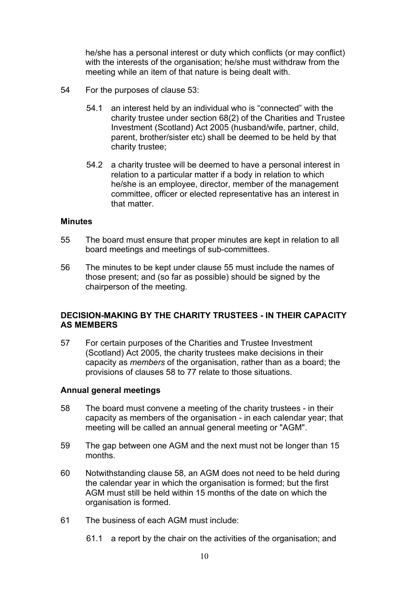he/she has a personal interest or duty which conflicts (or may conflict) with the interests of the organisation; he/she must withdraw from the meeting while an item of that nature is being dealt with.

- 54 For the purposes of clause 53:
	- 54.1 an interest held by an individual who is "connected" with the charity trustee under section 68(2) of the Charities and Trustee Investment (Scotland) Act 2005 (husband/wife, partner, child, parent, brother/sister etc) shall be deemed to be held by that charity trustee;
	- 54.2 a charity trustee will be deemed to have a personal interest in relation to a particular matter if a body in relation to which he/she is an employee, director, member of the management committee, officer or elected representative has an interest in that matter.

#### **Minutes**

- 55 The board must ensure that proper minutes are kept in relation to all board meetings and meetings of sub-committees.
- 56 The minutes to be kept under clause 55 must include the names of those present; and (so far as possible) should be signed by the chairperson of the meeting.

## **DECISION-MAKING BY THE CHARITY TRUSTEES - IN THEIR CAPACITY AS MEMBERS**

57 For certain purposes of the Charities and Trustee Investment (Scotland) Act 2005, the charity trustees make decisions in their capacity as *members* of the organisation, rather than as a board; the provisions of clauses 58 to 77 relate to those situations.

### **Annual general meetings**

- 58 The board must convene a meeting of the charity trustees in their capacity as members of the organisation - in each calendar year; that meeting will be called an annual general meeting or "AGM".
- 59 The gap between one AGM and the next must not be longer than 15 months.
- 60 Notwithstanding clause 58, an AGM does not need to be held during the calendar year in which the organisation is formed; but the first AGM must still be held within 15 months of the date on which the organisation is formed.
- 61 The business of each AGM must include:
	- 61.1 a report by the chair on the activities of the organisation; and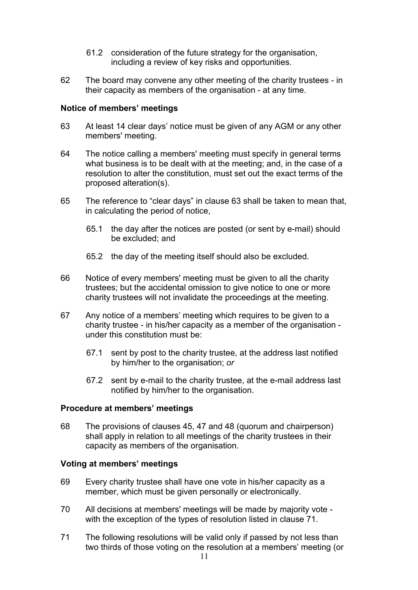- 61.2 consideration of the future strategy for the organisation, including a review of key risks and opportunities.
- 62 The board may convene any other meeting of the charity trustees in their capacity as members of the organisation - at any time.

### **Notice of members' meetings**

- 63 At least 14 clear days' notice must be given of any AGM or any other members' meeting.
- 64 The notice calling a members' meeting must specify in general terms what business is to be dealt with at the meeting; and, in the case of a resolution to alter the constitution, must set out the exact terms of the proposed alteration(s).
- 65 The reference to "clear days" in clause 63 shall be taken to mean that, in calculating the period of notice,
	- 65.1 the day after the notices are posted (or sent by e-mail) should be excluded; and
	- 65.2 the day of the meeting itself should also be excluded.
- 66 Notice of every members' meeting must be given to all the charity trustees; but the accidental omission to give notice to one or more charity trustees will not invalidate the proceedings at the meeting.
- 67 Any notice of a members' meeting which requires to be given to a charity trustee - in his/her capacity as a member of the organisation under this constitution must be:
	- 67.1 sent by post to the charity trustee, at the address last notified by him/her to the organisation; *or*
	- 67.2 sent by e-mail to the charity trustee, at the e-mail address last notified by him/her to the organisation.

#### **Procedure at members' meetings**

68 The provisions of clauses 45, 47 and 48 (quorum and chairperson) shall apply in relation to all meetings of the charity trustees in their capacity as members of the organisation.

### **Voting at members' meetings**

- 69 Every charity trustee shall have one vote in his/her capacity as a member, which must be given personally or electronically.
- 70 All decisions at members' meetings will be made by majority vote with the exception of the types of resolution listed in clause 71.
- 71 The following resolutions will be valid only if passed by not less than two thirds of those voting on the resolution at a members' meeting (or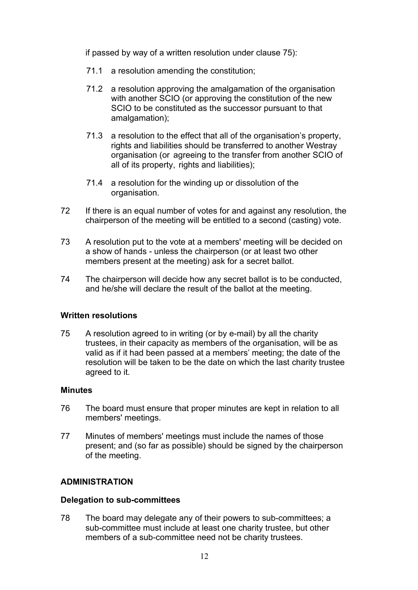if passed by way of a written resolution under clause 75):

- 71.1 a resolution amending the constitution;
- 71.2 a resolution approving the amalgamation of the organisation with another SCIO (or approving the constitution of the new SCIO to be constituted as the successor pursuant to that amalgamation);
- 71.3 a resolution to the effect that all of the organisation's property, rights and liabilities should be transferred to another Westray organisation (or agreeing to the transfer from another SCIO of all of its property, rights and liabilities);
- 71.4 a resolution for the winding up or dissolution of the organisation.
- 72 If there is an equal number of votes for and against any resolution, the chairperson of the meeting will be entitled to a second (casting) vote.
- 73 A resolution put to the vote at a members' meeting will be decided on a show of hands - unless the chairperson (or at least two other members present at the meeting) ask for a secret ballot.
- 74 The chairperson will decide how any secret ballot is to be conducted, and he/she will declare the result of the ballot at the meeting.

### **Written resolutions**

75 A resolution agreed to in writing (or by e-mail) by all the charity trustees, in their capacity as members of the organisation, will be as valid as if it had been passed at a members' meeting; the date of the resolution will be taken to be the date on which the last charity trustee agreed to it.

### **Minutes**

- 76 The board must ensure that proper minutes are kept in relation to all members' meetings.
- 77 Minutes of members' meetings must include the names of those present; and (so far as possible) should be signed by the chairperson of the meeting.

# **ADMINISTRATION**

### **Delegation to sub-committees**

78 The board may delegate any of their powers to sub-committees; a sub-committee must include at least one charity trustee, but other members of a sub-committee need not be charity trustees.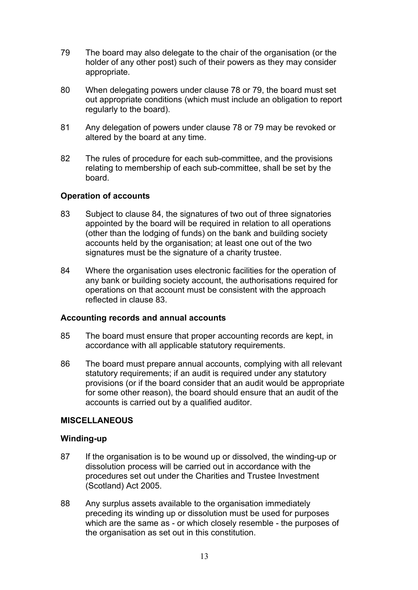- 79 The board may also delegate to the chair of the organisation (or the holder of any other post) such of their powers as they may consider appropriate.
- 80 When delegating powers under clause 78 or 79, the board must set out appropriate conditions (which must include an obligation to report regularly to the board).
- 81 Any delegation of powers under clause 78 or 79 may be revoked or altered by the board at any time.
- 82 The rules of procedure for each sub-committee, and the provisions relating to membership of each sub-committee, shall be set by the board.

## **Operation of accounts**

- 83 Subject to clause 84, the signatures of two out of three signatories appointed by the board will be required in relation to all operations (other than the lodging of funds) on the bank and building society accounts held by the organisation; at least one out of the two signatures must be the signature of a charity trustee.
- 84 Where the organisation uses electronic facilities for the operation of any bank or building society account, the authorisations required for operations on that account must be consistent with the approach reflected in clause 83.

### **Accounting records and annual accounts**

- 85 The board must ensure that proper accounting records are kept, in accordance with all applicable statutory requirements.
- 86 The board must prepare annual accounts, complying with all relevant statutory requirements; if an audit is required under any statutory provisions (or if the board consider that an audit would be appropriate for some other reason), the board should ensure that an audit of the accounts is carried out by a qualified auditor.

### **MISCELLANEOUS**

### **Winding-up**

- 87 If the organisation is to be wound up or dissolved, the winding-up or dissolution process will be carried out in accordance with the procedures set out under the Charities and Trustee Investment (Scotland) Act 2005.
- 88 Any surplus assets available to the organisation immediately preceding its winding up or dissolution must be used for purposes which are the same as - or which closely resemble - the purposes of the organisation as set out in this constitution.